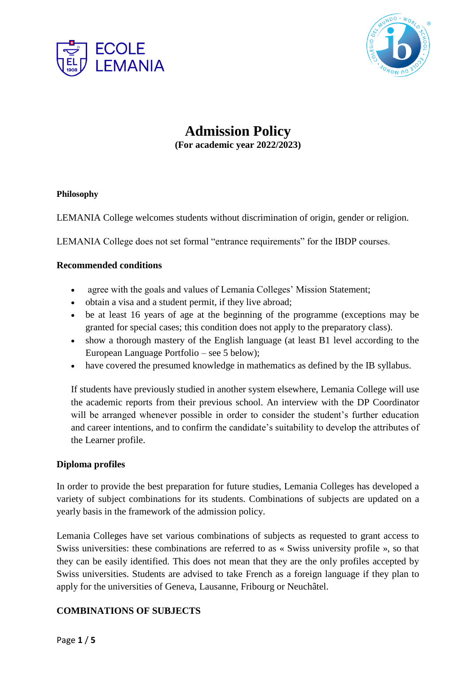



# **Admission Policy (For academic year 2022/2023)**

#### **Philosophy**

LEMANIA College welcomes students without discrimination of origin, gender or religion.

LEMANIA College does not set formal "entrance requirements" for the IBDP courses.

#### **Recommended conditions**

- agree with the goals and values of Lemania Colleges' Mission Statement;
- obtain a visa and a student permit, if they live abroad;
- be at least 16 years of age at the beginning of the programme (exceptions may be granted for special cases; this condition does not apply to the preparatory class).
- show a thorough mastery of the English language (at least B1 level according to the European Language Portfolio – see 5 below);
- have covered the presumed knowledge in mathematics as defined by the IB syllabus.

If students have previously studied in another system elsewhere, Lemania College will use the academic reports from their previous school. An interview with the DP Coordinator will be arranged whenever possible in order to consider the student's further education and career intentions, and to confirm the candidate's suitability to develop the attributes of the Learner profile.

## **Diploma profiles**

In order to provide the best preparation for future studies, Lemania Colleges has developed a variety of subject combinations for its students. Combinations of subjects are updated on a yearly basis in the framework of the admission policy.

Lemania Colleges have set various combinations of subjects as requested to grant access to Swiss universities: these combinations are referred to as « Swiss university profile », so that they can be easily identified. This does not mean that they are the only profiles accepted by Swiss universities. Students are advised to take French as a foreign language if they plan to apply for the universities of Geneva, Lausanne, Fribourg or Neuchâtel.

## **COMBINATIONS OF SUBJECTS**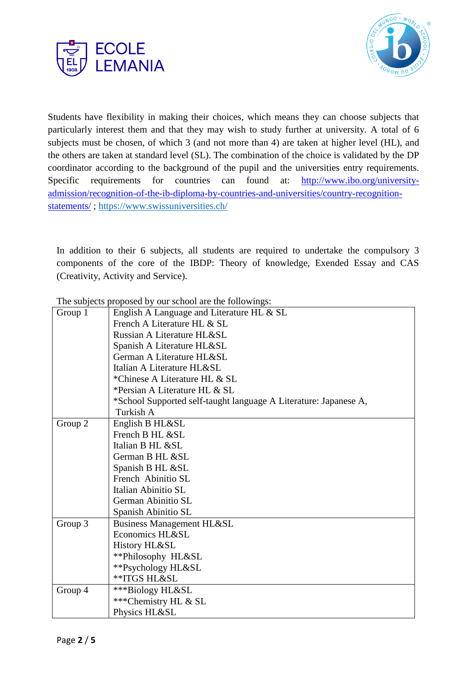



Students have flexibility in making their choices, which means they can choose subjects that particularly interest them and that they may wish to study further at university. A total of 6 subjects must be chosen, of which 3 (and not more than 4) are taken at higher level (HL), and the others are taken at standard level (SL). The combination of the choice is validated by the DP coordinator according to the background of the pupil and the universities entry requirements. Specific requirements for countries can found at: [http://www.ibo.org/university](http://www.ibo.org/university-admission/recognition-of-the-ib-diploma-by-countries-and-universities/country-recognition-statements/)[admission/recognition-of-the-ib-diploma-by-countries-and-universities/country-recognition](http://www.ibo.org/university-admission/recognition-of-the-ib-diploma-by-countries-and-universities/country-recognition-statements/)[statements/](http://www.ibo.org/university-admission/recognition-of-the-ib-diploma-by-countries-and-universities/country-recognition-statements/) ;<https://www.swissuniversities.ch/>

In addition to their 6 subjects, all students are required to undertake the compulsory 3 components of the core of the IBDP: Theory of knowledge, Exended Essay and CAS (Creativity, Activity and Service).

| Group 1 | English A Language and Literature HL & SL                        |  |  |  |  |  |  |
|---------|------------------------------------------------------------------|--|--|--|--|--|--|
|         | French A Literature HL & SL                                      |  |  |  |  |  |  |
|         | Russian A Literature HL&SL                                       |  |  |  |  |  |  |
|         | Spanish A Literature HL&SL                                       |  |  |  |  |  |  |
|         | German A Literature HL&SL                                        |  |  |  |  |  |  |
|         | Italian A Literature HL&SL                                       |  |  |  |  |  |  |
|         | *Chinese A Literature HL & SL                                    |  |  |  |  |  |  |
|         | *Persian A Literature HL & SL                                    |  |  |  |  |  |  |
|         | *School Supported self-taught language A Literature: Japanese A, |  |  |  |  |  |  |
|         | Turkish A                                                        |  |  |  |  |  |  |
| Group 2 | English B HL&SL                                                  |  |  |  |  |  |  |
|         | French B HL &SL                                                  |  |  |  |  |  |  |
|         | Italian B HL &SL                                                 |  |  |  |  |  |  |
|         | German B HL &SL                                                  |  |  |  |  |  |  |
|         | Spanish B HL &SL                                                 |  |  |  |  |  |  |
|         | French Abinitio SL                                               |  |  |  |  |  |  |
|         | Italian Abinitio SL                                              |  |  |  |  |  |  |
|         | German Abinitio SL                                               |  |  |  |  |  |  |
|         | Spanish Abinitio SL                                              |  |  |  |  |  |  |
| Group 3 | <b>Business Management HL&amp;SL</b>                             |  |  |  |  |  |  |
|         | Economics HL&SL                                                  |  |  |  |  |  |  |
|         | History HL&SL                                                    |  |  |  |  |  |  |
|         | **Philosophy HL&SL                                               |  |  |  |  |  |  |
|         | **Psychology HL&SL                                               |  |  |  |  |  |  |
|         | <b>**ITGS HL&amp;SL</b>                                          |  |  |  |  |  |  |
| Group 4 | ***Biology HL&SL                                                 |  |  |  |  |  |  |
|         | ***Chemistry HL & SL                                             |  |  |  |  |  |  |
|         | Physics HL&SL                                                    |  |  |  |  |  |  |

The subjects proposed by our school are the followings: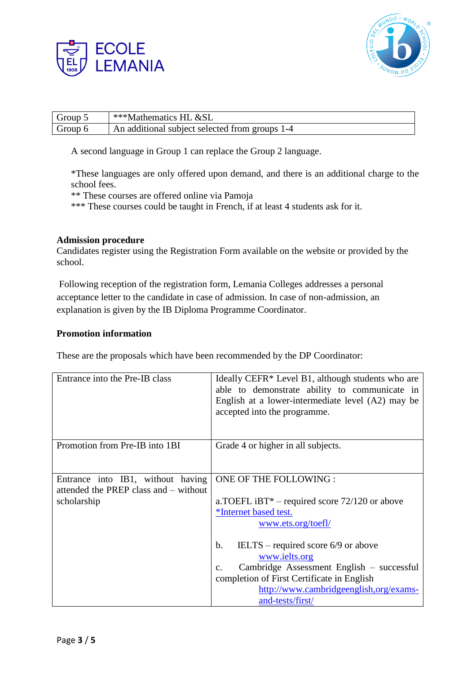



| Group 5 | ***Mathematics HL $\&$ SL                      |
|---------|------------------------------------------------|
| Group 6 | An additional subject selected from groups 1-4 |

A second language in Group 1 can replace the Group 2 language.

\*These languages are only offered upon demand, and there is an additional charge to the school fees.

\*\* These courses are offered online via Pamoja

\*\*\* These courses could be taught in French, if at least 4 students ask for it.

#### **Admission procedure**

Candidates register using the Registration Form available on the website or provided by the school.

Following reception of the registration form, Lemania Colleges addresses a personal acceptance letter to the candidate in case of admission. In case of non-admission, an explanation is given by the IB Diploma Programme Coordinator.

#### **Promotion information**

These are the proposals which have been recommended by the DP Coordinator:

| Entrance into the Pre-IB class                                                            | Ideally CEFR* Level B1, although students who are<br>able to demonstrate ability to communicate in<br>English at a lower-intermediate level (A2) may be<br>accepted into the programme.                                               |
|-------------------------------------------------------------------------------------------|---------------------------------------------------------------------------------------------------------------------------------------------------------------------------------------------------------------------------------------|
| Promotion from Pre-IB into 1BI                                                            | Grade 4 or higher in all subjects.                                                                                                                                                                                                    |
| Entrance into IB1, without having<br>attended the PREP class and – without<br>scholarship | ONE OF THE FOLLOWING :<br>a.TOEFL iBT* – required score $72/120$ or above<br>*Internet based test.<br>www.ets.org/toefl/                                                                                                              |
|                                                                                           | IELTS – required score 6/9 or above<br>b.<br>www.ielts.org<br>Cambridge Assessment English – successful<br>C <sub>1</sub><br>completion of First Certificate in English<br>http://www.cambridgeenglish.org/exams-<br>and-tests/first/ |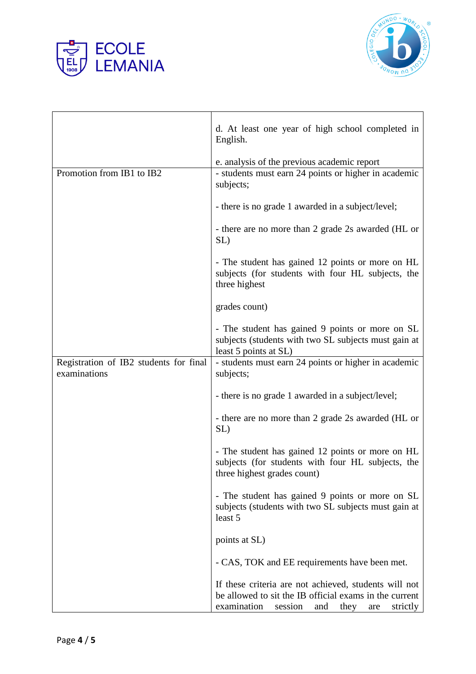



|                                                        | d. At least one year of high school completed in<br>English.                                                                                                                |  |  |  |  |  |
|--------------------------------------------------------|-----------------------------------------------------------------------------------------------------------------------------------------------------------------------------|--|--|--|--|--|
|                                                        | e. analysis of the previous academic report                                                                                                                                 |  |  |  |  |  |
| Promotion from IB1 to IB2                              | - students must earn 24 points or higher in academic<br>subjects;                                                                                                           |  |  |  |  |  |
|                                                        | - there is no grade 1 awarded in a subject/level;                                                                                                                           |  |  |  |  |  |
|                                                        | - there are no more than 2 grade 2s awarded (HL or<br>SL)                                                                                                                   |  |  |  |  |  |
|                                                        | - The student has gained 12 points or more on HL<br>subjects (for students with four HL subjects, the<br>three highest                                                      |  |  |  |  |  |
|                                                        | grades count)                                                                                                                                                               |  |  |  |  |  |
|                                                        | - The student has gained 9 points or more on SL<br>subjects (students with two SL subjects must gain at<br>least 5 points at SL)                                            |  |  |  |  |  |
| Registration of IB2 students for final<br>examinations | - students must earn 24 points or higher in academic<br>subjects;                                                                                                           |  |  |  |  |  |
|                                                        | - there is no grade 1 awarded in a subject/level;                                                                                                                           |  |  |  |  |  |
|                                                        | - there are no more than 2 grade 2s awarded (HL or<br>SL)                                                                                                                   |  |  |  |  |  |
|                                                        | - The student has gained 12 points or more on HL<br>subjects (for students with four HL subjects, the<br>three highest grades count)                                        |  |  |  |  |  |
|                                                        | - The student has gained 9 points or more on SL<br>subjects (students with two SL subjects must gain at<br>least 5                                                          |  |  |  |  |  |
|                                                        | points at SL)                                                                                                                                                               |  |  |  |  |  |
|                                                        | - CAS, TOK and EE requirements have been met.                                                                                                                               |  |  |  |  |  |
|                                                        | If these criteria are not achieved, students will not<br>be allowed to sit the IB official exams in the current<br>examination<br>session<br>and<br>they<br>strictly<br>are |  |  |  |  |  |